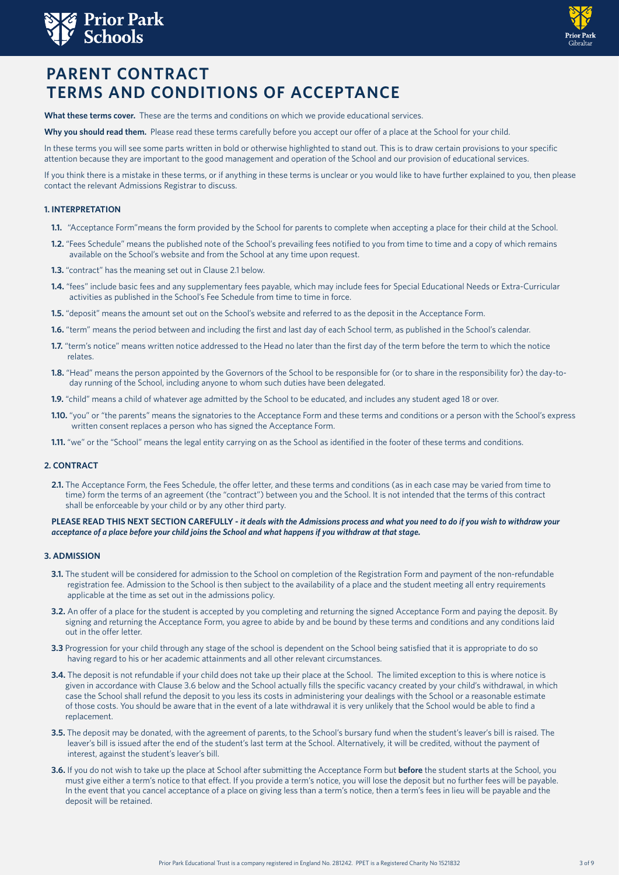



# **PARENT CONTRACT TERMS AND CONDITIONS OF ACCEPTANCE**

**What these terms cover.** These are the terms and conditions on which we provide educational services.

**Why you should read them.** Please read these terms carefully before you accept our offer of a place at the School for your child.

In these terms you will see some parts written in bold or otherwise highlighted to stand out. This is to draw certain provisions to your specific attention because they are important to the good management and operation of the School and our provision of educational services.

If you think there is a mistake in these terms, or if anything in these terms is unclear or you would like to have further explained to you, then please contact the relevant Admissions Registrar to discuss.

# **1. INTERPRETATION**

- **1.1.** "Acceptance Form"means the form provided by the School for parents to complete when accepting a place for their child at the School.
- **1.2.** "Fees Schedule" means the published note of the School's prevailing fees notified to you from time to time and a copy of which remains available on the School's website and from the School at any time upon request.
- **1.3.** "contract" has the meaning set out in Clause 2.1 below.
- **1.4.** "fees" include basic fees and any supplementary fees payable, which may include fees for Special Educational Needs or Extra-Curricular activities as published in the School's Fee Schedule from time to time in force.
- **1.5.** "deposit" means the amount set out on the School's website and referred to as the deposit in the Acceptance Form.
- **1.6.** "term" means the period between and including the first and last day of each School term, as published in the School's calendar.
- **1.7.** "term's notice" means written notice addressed to the Head no later than the first day of the term before the term to which the notice relates.
- **1.8.** "Head" means the person appointed by the Governors of the School to be responsible for (or to share in the responsibility for) the day-to day running of the School, including anyone to whom such duties have been delegated.
- **1.9.** "child" means a child of whatever age admitted by the School to be educated, and includes any student aged 18 or over.
- **1.10.** "you" or "the parents" means the signatories to the Acceptance Form and these terms and conditions or a person with the School's express written consent replaces a person who has signed the Acceptance Form.
- **1.11.** "we" or the "School" means the legal entity carrying on as the School as identified in the footer of these terms and conditions.

# **2. CONTRACT**

**2.1.** The Acceptance Form, the Fees Schedule, the offer letter, and these terms and conditions (as in each case may be varied from time to time) form the terms of an agreement (the "contract") between you and the School. It is not intended that the terms of this contract shall be enforceable by your child or by any other third party.

#### **PLEASE READ THIS NEXT SECTION CAREFULLY -** *it deals with the Admissions process and what you need to do if you wish to withdraw your acceptance of a place before your child joins the School and what happens if you withdraw at that stage.*

#### **3. ADMISSION**

- **3.1.** The student will be considered for admission to the School on completion of the Registration Form and payment of the non-refundable registration fee. Admission to the School is then subject to the availability of a place and the student meeting all entry requirements applicable at the time as set out in the admissions policy.
- **3.2.** An offer of a place for the student is accepted by you completing and returning the signed Acceptance Form and paying the deposit. By signing and returning the Acceptance Form, you agree to abide by and be bound by these terms and conditions and any conditions laid out in the offer letter.
- **3.3** Progression for your child through any stage of the school is dependent on the School being satisfied that it is appropriate to do so having regard to his or her academic attainments and all other relevant circumstances.
- **3.4.** The deposit is not refundable if your child does not take up their place at the School. The limited exception to this is where notice is given in accordance with Clause 3.6 below and the School actually fills the specific vacancy created by your child's withdrawal, in which case the School shall refund the deposit to you less its costs in administering your dealings with the School or a reasonable estimate of those costs. You should be aware that in the event of a late withdrawal it is very unlikely that the School would be able to find a replacement.
- **3.5.** The deposit may be donated, with the agreement of parents, to the School's bursary fund when the student's leaver's bill is raised. The leaver's bill is issued after the end of the student's last term at the School. Alternatively, it will be credited, without the payment of interest, against the student's leaver's bill.
- **3.6.** If you do not wish to take up the place at School after submitting the Acceptance Form but **before** the student starts at the School, you must give either a term's notice to that effect. If you provide a term's notice, you will lose the deposit but no further fees will be payable. In the event that you cancel acceptance of a place on giving less than a term's notice, then a term's fees in lieu will be payable and the deposit will be retained.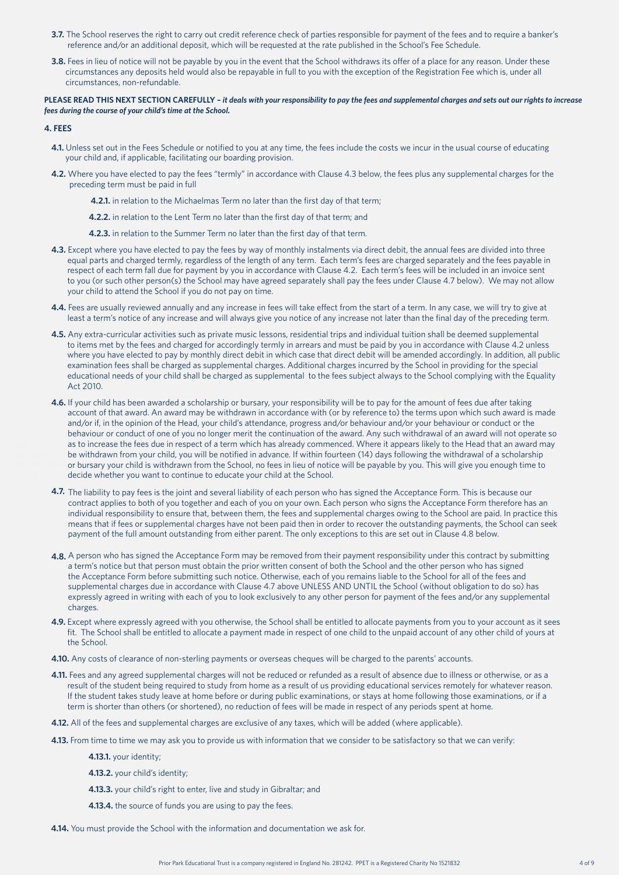- **3.7.** The School reserves the right to carry out credit reference check of parties responsible for payment of the fees and to require a banker's reference and/or an additional deposit, which will be requested at the rate published in the School's Fee Schedule.
- **3.8.** Fees in lieu of notice will not be payable by you in the event that the School withdraws its offer of a place for any reason. Under these circumstances any deposits held would also be repayable in full to you with the exception of the Registration Fee which is, under all circumstances, non-refundable.

**PLEASE READ THIS NEXT SECTION CAREFULLY –** *it deals with your responsibility to pay the fees and supplemental charges and sets out our rights to increase fees during the course of your child's time at the School.*

#### **4. FEES**

- **4.1.** Unless set out in the Fees Schedule or notified to you at any time, the fees include the costs we incur in the usual course of educating your child and, if applicable, facilitating our boarding provision.
- **4.2.** Where you have elected to pay the fees "termly" in accordance with Clause 4.3 below, the fees plus any supplemental charges for the preceding term must be paid in full
	- **4.2.1.** in relation to the Michaelmas Term no later than the first day of that term;
	- **4.2.2.** in relation to the Lent Term no later than the first day of that term; and
	- **4.2.3.** in relation to the Summer Term no later than the first day of that term.
- **4.3.** Except where you have elected to pay the fees by way of monthly instalments via direct debit, the annual fees are divided into three equal parts and charged termly, regardless of the length of any term. Each term's fees are charged separately and the fees payable in respect of each term fall due for payment by you in accordance with Clause 4.2. Each term's fees will be included in an invoice sent to you (or such other person(s) the School may have agreed separately shall pay the fees under Clause 4.7 below). We may not allow your child to attend the School if you do not pay on time.
- **4.4.** Fees are usually reviewed annually and any increase in fees will take effect from the start of a term. In any case, we will try to give at least a term's notice of any increase and will always give you notice of any increase not later than the final day of the preceding term.
- **4.5.** Any extra-curricular activities such as private music lessons, residential trips and individual tuition shall be deemed supplemental to items met by the fees and charged for accordingly termly in arrears and must be paid by you in accordance with Clause 4.2 unless where you have elected to pay by monthly direct debit in which case that direct debit will be amended accordingly. In addition, all public examination fees shall be charged as supplemental charges. Additional charges incurred by the School in providing for the special educational needs of your child shall be charged as supplemental to the fees subject always to the School complying with the Equality Act 2010.
- **4.6.** If your child has been awarded a scholarship or bursary, your responsibility will be to pay for the amount of fees due after taking **4.6.** If your child has been awarded a scholarship or bursary, your responsibility will be to pay for the amount of fees due after taking<br>account of that award. An award may be withdrawn in accordance with (or by referenc and/or if, in the opinion of the Head, your child's attendance, progress and/or behaviour and/or your behaviour or conduct or the behaviour or conduct of one of you no longer merit the continuation of the award. Any such withdrawal of an award will not operate so as to increase the fees due in respect of a term which has already commenced. Where it appears likely to the Head that an award may be withdrawn from your child, you will be notified in advance. If within fourteen (14) days following the withdrawal of a scholarship or bursary your child is withdrawn from the School, no fees in lieu of notice will be payable by you. This will give you enough time to decide whether you want to continue to educate your child at the School.
	- **4.7.** The liability to pay fees is the joint and several liability of each person who has signed the Acceptance Form. This is because our contract applies to both of you together and each of you on your own. Each person who signs the Acceptance Form therefore has an individual responsibility to ensure that, between them, the fees and supplemental charges owing to the School are paid. In practice this means that if fees or supplemental charges have not been paid then in order to recover the outstanding payments, the School can seek payment of the full amount outstanding from either parent. The only exceptions to this are set out in Clause 4.8 below.
	- **4.8.** A person who has signed the Acceptance Form may be removed from their payment responsibility under this contract by submitting a term's notice but that person must obtain the prior written consent of both the School and the other person who has signed the Acceptance Form before submitting such notice. Otherwise, each of you remains liable to the School for all of the fees and supplemental charges due in accordance with Clause 4.7 above UNLESS AND UNTIL the School (without obligation to do so) has expressly agreed in writing with each of you to look exclusively to any other person for payment of the fees and/or any supplemental charges.
	- **4.9.** Except where expressly agreed with you otherwise, the School shall be entitled to allocate payments from you to your account as it sees fit. The School shall be entitled to allocate a payment made in respect of one child to the unpaid account of any other child of yours at the School.
	- **4.10.** Any costs of clearance of non-sterling payments or overseas cheques will be charged to the parents' accounts.
	- **4.11.** Fees and any agreed supplemental charges will not be reduced or refunded as a result of absence due to illness or otherwise, or as a result of the student being required to study from home as a result of us providing educational services remotely for whatever reason. If the student takes study leave at home before or during public examinations, or stays at home following those examinations, or if a term is shorter than others (or shortened), no reduction of fees will be made in respect of any periods spent at home.
	- **4.12.** All of the fees and supplemental charges are exclusive of any taxes, which will be added (where applicable).
	- **4.13.** From time to time we may ask you to provide us with information that we consider to be satisfactory so that we can verify:
		- **4.13.1.** your identity;
		- **4.13.2.** your child's identity;
		- **4.13.3.** your child's right to enter, live and study in Gibraltar; and
		- **4.13.4.** the source of funds you are using to pay the fees.

**4.14.** You must provide the School with the information and documentation we ask for.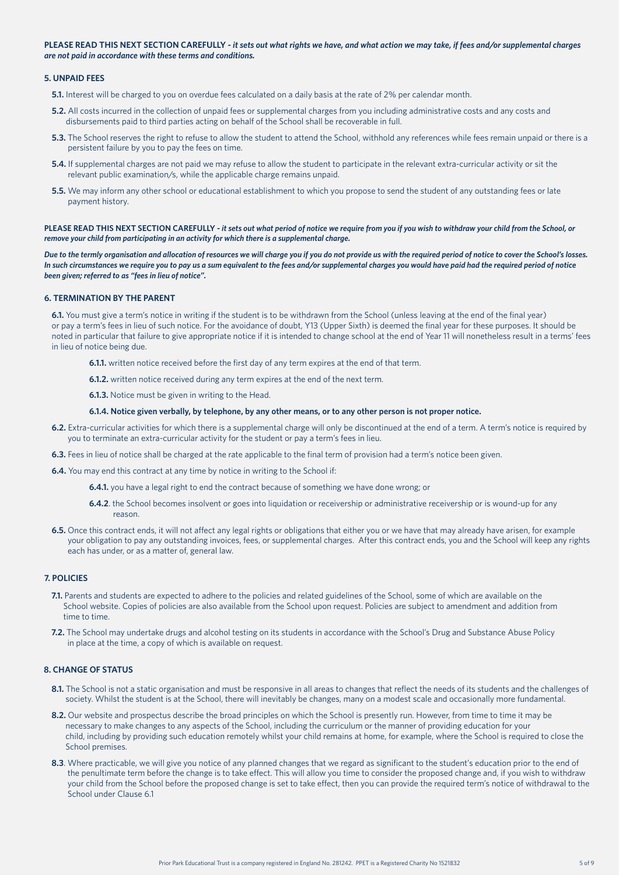**PLEASE READ THIS NEXT SECTION CAREFULLY -** *it sets out what rights we have, and what action we may take, if fees and/or supplemental charges are not paid in accordance with these terms and conditions.*

#### **5. UNPAID FEES**

- **5.1.** Interest will be charged to you on overdue fees calculated on a daily basis at the rate of 2% per calendar month.
- **5.2.** All costs incurred in the collection of unpaid fees or supplemental charges from you including administrative costs and any costs and disbursements paid to third parties acting on behalf of the School shall be recoverable in full.
- **5.3.** The School reserves the right to refuse to allow the student to attend the School, withhold any references while fees remain unpaid or there is a persistent failure by you to pay the fees on time.
- **5.4.** If supplemental charges are not paid we may refuse to allow the student to participate in the relevant extra-curricular activity or sit the relevant public examination/s, while the applicable charge remains unpaid.
- **5.5.** We may inform any other school or educational establishment to which you propose to send the student of any outstanding fees or late payment history.

**PLEASE READ THIS NEXT SECTION CAREFULLY -** *it sets out what period of notice we require from you if you wish to withdraw your child from the School, or remove your child from participating in an activity for which there is a supplemental charge.*

*Due to the termly organisation and allocation of resources we will charge you if you do not provide us with the required period of notice to cover the School's losses. In such circumstances we require you to pay us a sum equivalent to the fees and/or supplemental charges you would have paid had the required period of notice been given; referred to as "fees in lieu of notice".* 

## **6. TERMINATION BY THE PARENT**

**6.1.** You must give a term's notice in writing if the student is to be withdrawn from the School (unless leaving at the end of the final year) or pay a term's fees in lieu of such notice. For the avoidance of doubt, Y13 (Upper Sixth) is deemed the final year for these purposes. It should be noted in particular that failure to give appropriate notice if it is intended to change school at the end of Year 11 will nonetheless result in a terms' fees in lieu of notice being due.

- **6.1.1.** written notice received before the first day of any term expires at the end of that term.
- **6.1.2.** written notice received during any term expires at the end of the next term.
- **6.1.3.** Notice must be given in writing to the Head.
- **6.1.4. Notice given verbally, by telephone, by any other means, or to any other person is not proper notice.**
- **6.2.** Extra-curricular activities for which there is a supplemental charge will only be discontinued at the end of a term. A term's notice is required by you to terminate an extra-curricular activity for the student or pay a term's fees in lieu.
- **6.3.** Fees in lieu of notice shall be charged at the rate applicable to the final term of provision had a term's notice been given.
- **6.4.** You may end this contract at any time by notice in writing to the School if:
	- **6.4.1.** you have a legal right to end the contract because of something we have done wrong; or
	- **6.4.2**. the School becomes insolvent or goes into liquidation or receivership or administrative receivership or is wound-up for any reason.
- **6.5.** Once this contract ends, it will not affect any legal rights or obligations that either you or we have that may already have arisen, for example your obligation to pay any outstanding invoices, fees, or supplemental charges. After this contract ends, you and the School will keep any rights each has under, or as a matter of, general law.

## **7. POLICIES**

- **7.1.** Parents and students are expected to adhere to the policies and related guidelines of the School, some of which are available on the School website. Copies of policies are also available from the School upon request. Policies are subject to amendment and addition from time to time.
- **7.2.** The School may undertake drugs and alcohol testing on its students in accordance with the School's Drug and Substance Abuse Policy in place at the time, a copy of which is available on request.

#### **8. CHANGE OF STATUS**

- **8.1.** The School is not a static organisation and must be responsive in all areas to changes that reflect the needs of its students and the challenges of society. Whilst the student is at the School, there will inevitably be changes, many on a modest scale and occasionally more fundamental.
- 8.2. Our website and prospectus describe the broad principles on which the School is presently run. However, from time to time it may be necessary to make changes to any aspects of the School, including the curriculum or the manner of providing education for your child, including by providing such education remotely whilst your child remains at home, for example, where the School is required to close the School premises.
- 8.3. Where practicable, we will give you notice of any planned changes that we regard as significant to the student's education prior to the end of the penultimate term before the change is to take effect. This will allow you time to consider the proposed change and, if you wish to withdraw your child from the School before the proposed change is set to take effect, then you can provide the required term's notice of withdrawal to the School under Clause 6.1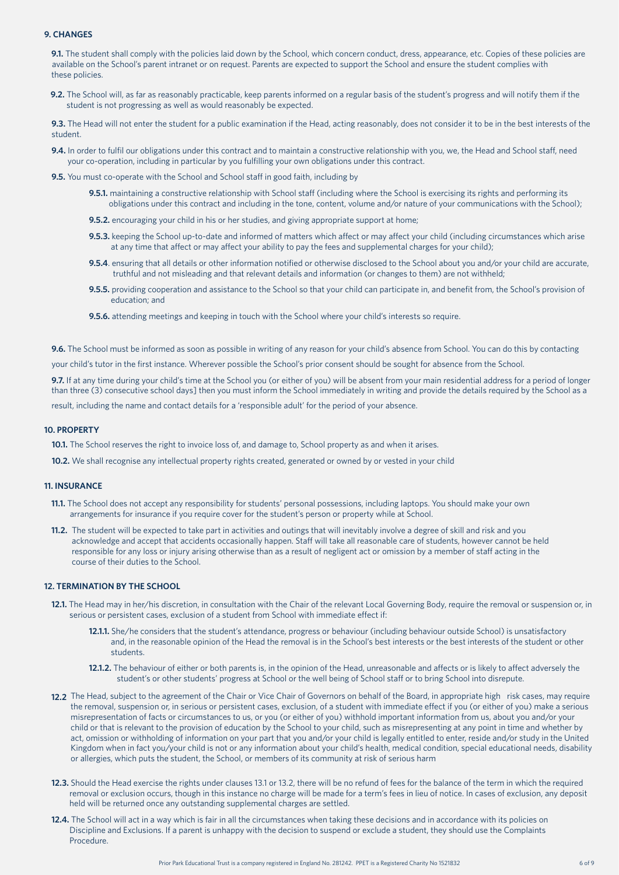#### **9. CHANGES**

**9.1.** The student shall comply with the policies laid down by the School, which concern conduct, dress, appearance, etc. Copies of these policies are available on the School's parent intranet or on request. Parents are expected to support the School and ensure the student complies with these policies.

**9.2.** The School will, as far as reasonably practicable, keep parents informed on a regular basis of the student's progress and will notify them if the student is not progressing as well as would reasonably be expected.

**9.3.** The Head will not enter the student for a public examination if the Head, acting reasonably, does not consider it to be in the best interests of the student.

**9.4.** In order to fulfil our obligations under this contract and to maintain a constructive relationship with you, we, the Head and School staff, need your co-operation, including in particular by you fulfilling your own obligations under this contract.

**9.5.** You must co-operate with the School and School staff in good faith, including by

- **9.5.1.** maintaining a constructive relationship with School staff (including where the School is exercising its rights and performing its obligations under this contract and including in the tone, content, volume and/or nature of your communications with the School);
- **9.5.2.** encouraging your child in his or her studies, and giving appropriate support at home;
- **9.5.3.** keeping the School up-to-date and informed of matters which affect or may affect your child (including circumstances which arise at any time that affect or may affect your ability to pay the fees and supplemental charges for your child);
- **9.5.4**. ensuring that all details or other information notified or otherwise disclosed to the School about you and/or your child are accurate, truthful and not misleading and that relevant details and information (or changes to them) are not withheld;
- **9.5.5.** providing cooperation and assistance to the School so that your child can participate in, and benefit from, the School's provision of education; and
- **9.5.6.** attending meetings and keeping in touch with the School where your child's interests so require.

**9.6.** The School must be informed as soon as possible in writing of any reason for your child's absence from School. You can do this by contacting

your child's tutor in the first instance. Wherever possible the School's prior consent should be sought for absence from the School.

**9.7.** If at any time during your child's time at the School you (or either of you) will be absent from your main residential address for a period of longer than three (3) consecutive school days] then you must inform the School immediately in writing and provide the details required by the School as a

result, including the name and contact details for a 'responsible adult' for the period of your absence.

#### **10. PROPERTY**

**10.1.** The School reserves the right to invoice loss of, and damage to, School property as and when it arises.

**10.2.** We shall recognise any intellectual property rights created, generated or owned by or vested in your child

#### **11. INSURANCE**

- **11.1.** The School does not accept any responsibility for students' personal possessions, including laptops. You should make your own arrangements for insurance if you require cover for the student's person or property while at School.
- **11.2.** The student will be expected to take part in activities and outings that will inevitably involve a degree of skill and risk and you acknowledge and accept that accidents occasionally happen. Staff will take all reasonable care of students, however cannot be held responsible for any loss or injury arising otherwise than as a result of negligent act or omission by a member of staff acting in the course of their duties to the School.

# **12. TERMINATION BY THE SCHOOL**

- **12.1.** The Head may in her/his discretion, in consultation with the Chair of the relevant Local Governing Body, require the removal or suspension or, in serious or persistent cases, exclusion of a student from School with immediate effect if:
	- **12.1.1.** She/he considers that the student's attendance, progress or behaviour (including behaviour outside School) is unsatisfactory and, in the reasonable opinion of the Head the removal is in the School's best interests or the best interests of the student or other students.
	- **12.1.2.** The behaviour of either or both parents is, in the opinion of the Head, unreasonable and affects or is likely to affect adversely the student's or other students' progress at School or the well being of School staff or to bring School into disrepute.
- **12.2** The Head, subject to the agreement of the Chair or Vice Chair of Governors on behalf of the Board, in appropriate high risk cases, may require the removal, suspension or, in serious or persistent cases, exclusion, of a student with immediate effect if you (or either of you) make a serious misrepresentation of facts or circumstances to us, or you (or either of you) withhold important information from us, about you and/or your child or that is relevant to the provision of education by the School to your child, such as misrepresenting at any point in time and whether by act, omission or withholding of information on your part that you and/or your child is legally entitled to enter, reside and/or study in the United Kingdom when in fact you/your child is not or any information about your child's health, medical condition, special educational needs, disability or allergies, which puts the student, the School, or members of its community at risk of serious harm
- **12.3.** Should the Head exercise the rights under clauses 13.1 or 13.2, there will be no refund of fees for the balance of the term in which the required removal or exclusion occurs, though in this instance no charge will be made for a term's fees in lieu of notice. In cases of exclusion, any deposit held will be returned once any outstanding supplemental charges are settled.
- **12.4.** The School will act in a way which is fair in all the circumstances when taking these decisions and in accordance with its policies on Discipline and Exclusions. If a parent is unhappy with the decision to suspend or exclude a student, they should use the Complaints Procedure.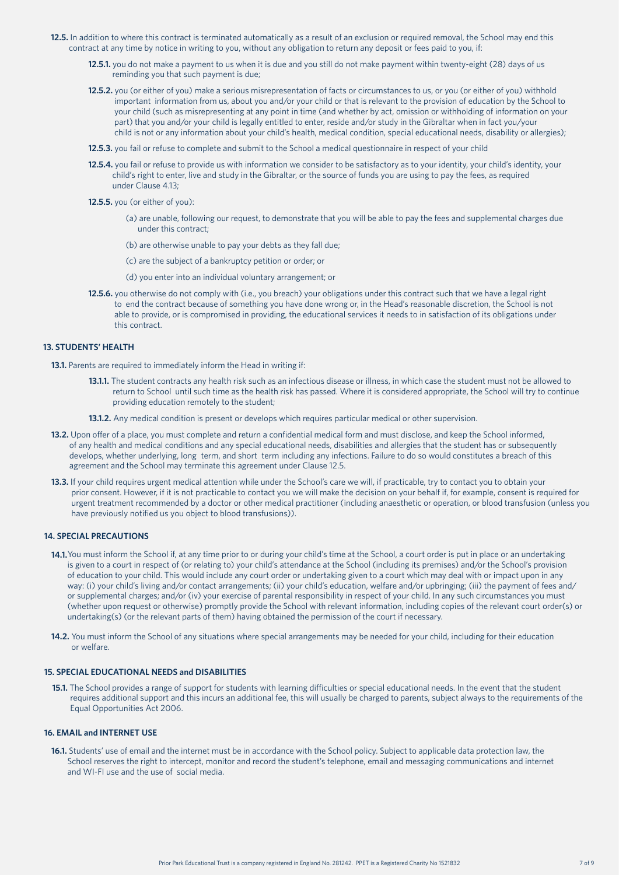- **12.5.** In addition to where this contract is terminated automatically as a result of an exclusion or required removal, the School may end this contract at any time by notice in writing to you, without any obligation to return any deposit or fees paid to you, if:
	- **12.5.1.** you do not make a payment to us when it is due and you still do not make payment within twenty-eight (28) days of us reminding you that such payment is due;
	- **12.5.2.** you (or either of you) make a serious misrepresentation of facts or circumstances to us, or you (or either of you) withhold important information from us, about you and/or your child or that is relevant to the provision of education by the School to your child (such as misrepresenting at any point in time (and whether by act, omission or withholding of information on your part) that you and/or your child is legally entitled to enter, reside and/or study in the Gibraltar when in fact you/your child is not or any information about your child's health, medical condition, special educational needs, disability or allergies);
	- **12.5.3.** you fail or refuse to complete and submit to the School a medical questionnaire in respect of your child
	- **12.5.4.** you fail or refuse to provide us with information we consider to be satisfactory as to your identity, your child's identity, your child's right to enter, live and study in the Gibraltar, or the source of funds you are using to pay the fees, as required under Clause 4.13;
	- **12.5.5.** you (or either of you):
		- (a) are unable, following our request, to demonstrate that you will be able to pay the fees and supplemental charges due under this contract;
		- (b) are otherwise unable to pay your debts as they fall due;
		- (c) are the subject of a bankruptcy petition or order; or
		- (d) you enter into an individual voluntary arrangement; or
	- **12.5.6.** you otherwise do not comply with (i.e., you breach) your obligations under this contract such that we have a legal right to end the contract because of something you have done wrong or, in the Head's reasonable discretion, the School is not able to provide, or is compromised in providing, the educational services it needs to in satisfaction of its obligations under this contract.

# **13. STUDENTS' HEALTH**

**13.1.** Parents are required to immediately inform the Head in writing if:

- **13.1.1.** The student contracts any health risk such as an infectious disease or illness, in which case the student must not be allowed to return to School until such time as the health risk has passed. Where it is considered appropriate, the School will try to continue providing education remotely to the student;
- **13.1.2.** Any medical condition is present or develops which requires particular medical or other supervision.
- **13.2.** Upon offer of a place, you must complete and return a confidential medical form and must disclose, and keep the School informed, of any health and medical conditions and any special educational needs, disabilities and allergies that the student has or subsequently develops, whether underlying, long term, and short term including any infections. Failure to do so would constitutes a breach of this agreement and the School may terminate this agreement under Clause 12.5.
- 13.3. If your child requires urgent medical attention while under the School's care we will, if practicable, try to contact you to obtain your prior consent. However, if it is not practicable to contact you we will make the decision on your behalf if, for example, consent is required for urgent treatment recommended by a doctor or other medical practitioner (including anaesthetic or operation, or blood transfusion (unless you have previously notified us you object to blood transfusions)).

#### **14. SPECIAL PRECAUTIONS**

- **14.1.** You must inform the School if, at any time prior to or during your child's time at the School, a court order is put in place or an undertaking is given to a court in respect of (or relating to) your child's attendance at the School (including its premises) and/or the School's provision of education to your child. This would include any court order or undertaking given to a court which may deal with or impact upon in any way: (i) your child's living and/or contact arrangements; (ii) your child's education, welfare and/or upbringing; (iii) the payment of fees and/ or supplemental charges; and/or (iv) your exercise of parental responsibility in respect of your child. In any such circumstances you must (whether upon request or otherwise) promptly provide the School with relevant information, including copies of the relevant court order(s) or undertaking(s) (or the relevant parts of them) having obtained the permission of the court if necessary.
- **14.2.** You must inform the School of any situations where special arrangements may be needed for your child, including for their education or welfare.

# **15. SPECIAL EDUCATIONAL NEEDS and DISABILITIES**

**15.1.** The School provides a range of support for students with learning difficulties or special educational needs. In the event that the student requires additional support and this incurs an additional fee, this will usually be charged to parents, subject always to the requirements of the Equal Opportunities Act 2006.

# **16. EMAIL and INTERNET USE**

**16.1.** Students' use of email and the internet must be in accordance with the School policy. Subject to applicable data protection law, the School reserves the right to intercept, monitor and record the student's telephone, email and messaging communications and internet and WI-FI use and the use of social media.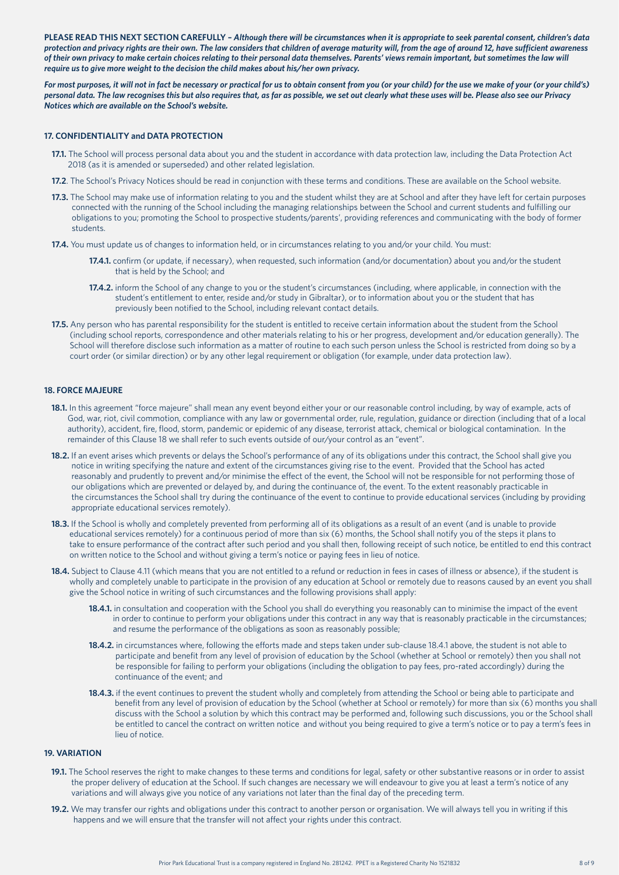**PLEASE READ THIS NEXT SECTION CAREFULLY –** *Although there will be circumstances when it is appropriate to seek parental consent, children's data protection and privacy rights are their own. The law considers that children of average maturity will, from the age of around 12, have sufficient awareness of their own privacy to make certain choices relating to their personal data themselves. Parents' views remain important, but sometimes the law will require us to give more weight to the decision the child makes about his/her own privacy.* 

*For most purposes, it will not in fact be necessary or practical for us to obtain consent from you (or your child) for the use we make of your (or your child's) personal data. The law recognises this but also requires that, as far as possible, we set out clearly what these uses will be. Please also see our Privacy Notices which are available on the School's website.*

# **17. CONFIDENTIALITY and DATA PROTECTION**

- **17.1.** The School will process personal data about you and the student in accordance with data protection law, including the Data Protection Act 2018 (as it is amended or superseded) and other related legislation.
- **17.2**. The School's Privacy Notices should be read in conjunction with these terms and conditions. These are available on the School website.
- **17.3.** The School may make use of information relating to you and the student whilst they are at School and after they have left for certain purposes connected with the running of the School including the managing relationships between the School and current students and fulfilling our obligations to you; promoting the School to prospective students/parents', providing references and communicating with the body of former students.
- **17.4.** You must update us of changes to information held, or in circumstances relating to you and/or your child. You must:
	- **17.4.1.** confirm (or update, if necessary), when requested, such information (and/or documentation) about you and/or the student that is held by the School; and
	- **17.4.2.** inform the School of any change to you or the student's circumstances (including, where applicable, in connection with the student's entitlement to enter, reside and/or study in Gibraltar), or to information about you or the student that has previously been notified to the School, including relevant contact details.
- **17.5.** Any person who has parental responsibility for the student is entitled to receive certain information about the student from the School (including school reports, correspondence and other materials relating to his or her progress, development and/or education generally). The School will therefore disclose such information as a matter of routine to each such person unless the School is restricted from doing so by a court order (or similar direction) or by any other legal requirement or obligation (for example, under data protection law).

#### **18. FORCE MAJEURE**

- **18.1.** In this agreement "force majeure" shall mean any event beyond either your or our reasonable control including, by way of example, acts of God, war, riot, civil commotion, compliance with any law or governmental order, rule, regulation, guidance or direction (including that of a local authority), accident, fire, flood, storm, pandemic or epidemic of any disease, terrorist attack, chemical or biological contamination. In the remainder of this Clause 18 we shall refer to such events outside of our/your control as an "event".
- **18.2.** If an event arises which prevents or delays the School's performance of any of its obligations under this contract, the School shall give you notice in writing specifying the nature and extent of the circumstances giving rise to the event. Provided that the School has acted reasonably and prudently to prevent and/or minimise the effect of the event, the School will not be responsible for not performing those of our obligations which are prevented or delayed by, and during the continuance of, the event. To the extent reasonably practicable in the circumstances the School shall try during the continuance of the event to continue to provide educational services (including by providing appropriate educational services remotely).
- **18.3.** If the School is wholly and completely prevented from performing all of its obligations as a result of an event (and is unable to provide educational services remotely) for a continuous period of more than six (6) months, the School shall notify you of the steps it plans to take to ensure performance of the contract after such period and you shall then, following receipt of such notice, be entitled to end this contract on written notice to the School and without giving a term's notice or paying fees in lieu of notice.
- **18.4.** Subject to Clause 4.11 (which means that you are not entitled to a refund or reduction in fees in cases of illness or absence), if the student is wholly and completely unable to participate in the provision of any education at School or remotely due to reasons caused by an event you shall give the School notice in writing of such circumstances and the following provisions shall apply:
	- **18.4.1.** in consultation and cooperation with the School you shall do everything you reasonably can to minimise the impact of the event in order to continue to perform your obligations under this contract in any way that is reasonably practicable in the circumstances; and resume the performance of the obligations as soon as reasonably possible;
	- **18.4.2.** in circumstances where, following the efforts made and steps taken under sub-clause 18.4.1 above, the student is not able to participate and benefit from any level of provision of education by the School (whether at School or remotely) then you shall not be responsible for failing to perform your obligations (including the obligation to pay fees, pro-rated accordingly) during the continuance of the event; and
	- **18.4.3.** if the event continues to prevent the student wholly and completely from attending the School or being able to participate and benefit from any level of provision of education by the School (whether at School or remotely) for more than six (6) months you shall discuss with the School a solution by which this contract may be performed and, following such discussions, you or the School shall be entitled to cancel the contract on written notice and without you being required to give a term's notice or to pay a term's fees in lieu of notice.

# **19. VARIATION**

- **19.1.** The School reserves the right to make changes to these terms and conditions for legal, safety or other substantive reasons or in order to assist the proper delivery of education at the School. If such changes are necessary we will endeavour to give you at least a term's notice of any variations and will always give you notice of any variations not later than the final day of the preceding term.
- **19.2.** We may transfer our rights and obligations under this contract to another person or organisation. We will always tell you in writing if this happens and we will ensure that the transfer will not affect your rights under this contract.